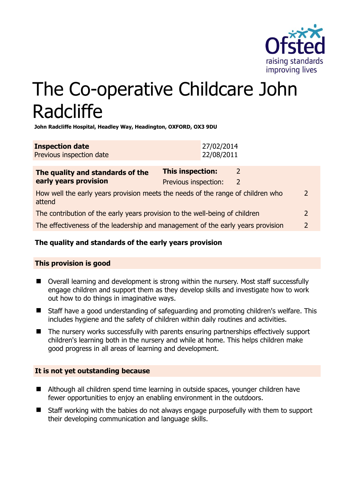

# The Co-operative Childcare John Radcliffe

**John Radcliffe Hospital, Headley Way, Headington, OXFORD, OX3 9DU** 

| <b>Inspection date</b>   | 27/02/2014 |
|--------------------------|------------|
| Previous inspection date | 22/08/2011 |

| The quality and standards of the<br>early years provision                                 | This inspection:     | 2 |               |
|-------------------------------------------------------------------------------------------|----------------------|---|---------------|
|                                                                                           | Previous inspection: | 2 |               |
| How well the early years provision meets the needs of the range of children who<br>attend |                      |   | $\mathcal{L}$ |
| The contribution of the early years provision to the well-being of children               |                      |   | $\mathcal{P}$ |
| The effectiveness of the leadership and management of the early years provision           |                      |   | $\mathcal{D}$ |
|                                                                                           |                      |   |               |

# **The quality and standards of the early years provision**

# **This provision is good**

- Overall learning and development is strong within the nursery. Most staff successfully engage children and support them as they develop skills and investigate how to work out how to do things in imaginative ways.
- Staff have a good understanding of safeguarding and promoting children's welfare. This includes hygiene and the safety of children within daily routines and activities.
- The nursery works successfully with parents ensuring partnerships effectively support children's learning both in the nursery and while at home. This helps children make good progress in all areas of learning and development.

# **It is not yet outstanding because**

- Although all children spend time learning in outside spaces, younger children have fewer opportunities to enjoy an enabling environment in the outdoors.
- Staff working with the babies do not always engage purposefully with them to support their developing communication and language skills.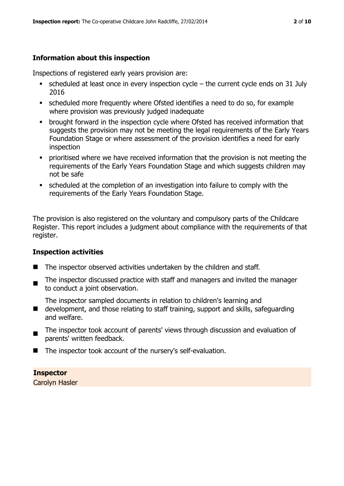# **Information about this inspection**

Inspections of registered early years provision are:

- $\bullet$  scheduled at least once in every inspection cycle the current cycle ends on 31 July 2016
- scheduled more frequently where Ofsted identifies a need to do so, for example where provision was previously judged inadequate
- **•** brought forward in the inspection cycle where Ofsted has received information that suggests the provision may not be meeting the legal requirements of the Early Years Foundation Stage or where assessment of the provision identifies a need for early inspection
- **•** prioritised where we have received information that the provision is not meeting the requirements of the Early Years Foundation Stage and which suggests children may not be safe
- scheduled at the completion of an investigation into failure to comply with the requirements of the Early Years Foundation Stage.

The provision is also registered on the voluntary and compulsory parts of the Childcare Register. This report includes a judgment about compliance with the requirements of that register.

#### **Inspection activities**

- The inspector observed activities undertaken by the children and staff.
- . The inspector discussed practice with staff and managers and invited the manager to conduct a joint observation.

The inspector sampled documents in relation to children's learning and

- development, and those relating to staff training, support and skills, safeguarding and welfare.
- The inspector took account of parents' views through discussion and evaluation of parents' written feedback.
- The inspector took account of the nursery's self-evaluation.

# **Inspector**

Carolyn Hasler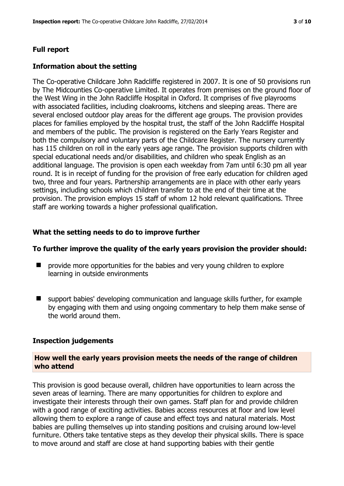#### **Full report**

#### **Information about the setting**

The Co-operative Childcare John Radcliffe registered in 2007. It is one of 50 provisions run by The Midcounties Co-operative Limited. It operates from premises on the ground floor of the West Wing in the John Radcliffe Hospital in Oxford. It comprises of five playrooms with associated facilities, including cloakrooms, kitchens and sleeping areas. There are several enclosed outdoor play areas for the different age groups. The provision provides places for families employed by the hospital trust, the staff of the John Radcliffe Hospital and members of the public. The provision is registered on the Early Years Register and both the compulsory and voluntary parts of the Childcare Register. The nursery currently has 115 children on roll in the early years age range. The provision supports children with special educational needs and/or disabilities, and children who speak English as an additional language. The provision is open each weekday from 7am until 6:30 pm all year round. It is in receipt of funding for the provision of free early education for children aged two, three and four years. Partnership arrangements are in place with other early years settings, including schools which children transfer to at the end of their time at the provision. The provision employs 15 staff of whom 12 hold relevant qualifications. Three staff are working towards a higher professional qualification.

#### **What the setting needs to do to improve further**

#### **To further improve the quality of the early years provision the provider should:**

- **P** provide more opportunities for the babies and very young children to explore learning in outside environments
- support babies' developing communication and language skills further, for example by engaging with them and using ongoing commentary to help them make sense of the world around them.

#### **Inspection judgements**

#### **How well the early years provision meets the needs of the range of children who attend**

This provision is good because overall, children have opportunities to learn across the seven areas of learning. There are many opportunities for children to explore and investigate their interests through their own games. Staff plan for and provide children with a good range of exciting activities. Babies access resources at floor and low level allowing them to explore a range of cause and effect toys and natural materials. Most babies are pulling themselves up into standing positions and cruising around low-level furniture. Others take tentative steps as they develop their physical skills. There is space to move around and staff are close at hand supporting babies with their gentle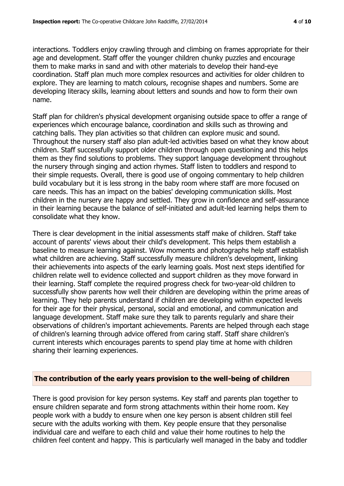interactions. Toddlers enjoy crawling through and climbing on frames appropriate for their age and development. Staff offer the younger children chunky puzzles and encourage them to make marks in sand and with other materials to develop their hand-eye coordination. Staff plan much more complex resources and activities for older children to explore. They are learning to match colours, recognise shapes and numbers. Some are developing literacy skills, learning about letters and sounds and how to form their own name.

Staff plan for children's physical development organising outside space to offer a range of experiences which encourage balance, coordination and skills such as throwing and catching balls. They plan activities so that children can explore music and sound. Throughout the nursery staff also plan adult-led activities based on what they know about children. Staff successfully support older children through open questioning and this helps them as they find solutions to problems. They support language development throughout the nursery through singing and action rhymes. Staff listen to toddlers and respond to their simple requests. Overall, there is good use of ongoing commentary to help children build vocabulary but it is less strong in the baby room where staff are more focused on care needs. This has an impact on the babies' developing communication skills. Most children in the nursery are happy and settled. They grow in confidence and self-assurance in their learning because the balance of self-initiated and adult-led learning helps them to consolidate what they know.

There is clear development in the initial assessments staff make of children. Staff take account of parents' views about their child's development. This helps them establish a baseline to measure learning against. Wow moments and photographs help staff establish what children are achieving. Staff successfully measure children's development, linking their achievements into aspects of the early learning goals. Most next steps identified for children relate well to evidence collected and support children as they move forward in their learning. Staff complete the required progress check for two-year-old children to successfully show parents how well their children are developing within the prime areas of learning. They help parents understand if children are developing within expected levels for their age for their physical, personal, social and emotional, and communication and language development. Staff make sure they talk to parents regularly and share their observations of children's important achievements. Parents are helped through each stage of children's learning through advice offered from caring staff. Staff share children's current interests which encourages parents to spend play time at home with children sharing their learning experiences.

#### **The contribution of the early years provision to the well-being of children**

There is good provision for key person systems. Key staff and parents plan together to ensure children separate and form strong attachments within their home room. Key people work with a buddy to ensure when one key person is absent children still feel secure with the adults working with them. Key people ensure that they personalise individual care and welfare to each child and value their home routines to help the children feel content and happy. This is particularly well managed in the baby and toddler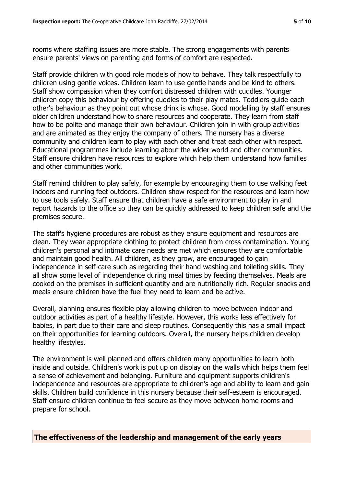rooms where staffing issues are more stable. The strong engagements with parents ensure parents' views on parenting and forms of comfort are respected.

Staff provide children with good role models of how to behave. They talk respectfully to children using gentle voices. Children learn to use gentle hands and be kind to others. Staff show compassion when they comfort distressed children with cuddles. Younger children copy this behaviour by offering cuddles to their play mates. Toddlers guide each other's behaviour as they point out whose drink is whose. Good modelling by staff ensures older children understand how to share resources and cooperate. They learn from staff how to be polite and manage their own behaviour. Children join in with group activities and are animated as they enjoy the company of others. The nursery has a diverse community and children learn to play with each other and treat each other with respect. Educational programmes include learning about the wider world and other communities. Staff ensure children have resources to explore which help them understand how families and other communities work.

Staff remind children to play safely, for example by encouraging them to use walking feet indoors and running feet outdoors. Children show respect for the resources and learn how to use tools safely. Staff ensure that children have a safe environment to play in and report hazards to the office so they can be quickly addressed to keep children safe and the premises secure.

The staff's hygiene procedures are robust as they ensure equipment and resources are clean. They wear appropriate clothing to protect children from cross contamination. Young children's personal and intimate care needs are met which ensures they are comfortable and maintain good health. All children, as they grow, are encouraged to gain independence in self-care such as regarding their hand washing and toileting skills. They all show some level of independence during meal times by feeding themselves. Meals are cooked on the premises in sufficient quantity and are nutritionally rich. Regular snacks and meals ensure children have the fuel they need to learn and be active.

Overall, planning ensures flexible play allowing children to move between indoor and outdoor activities as part of a healthy lifestyle. However, this works less effectively for babies, in part due to their care and sleep routines. Consequently this has a small impact on their opportunities for learning outdoors. Overall, the nursery helps children develop healthy lifestyles.

The environment is well planned and offers children many opportunities to learn both inside and outside. Children's work is put up on display on the walls which helps them feel a sense of achievement and belonging. Furniture and equipment supports children's independence and resources are appropriate to children's age and ability to learn and gain skills. Children build confidence in this nursery because their self-esteem is encouraged. Staff ensure children continue to feel secure as they move between home rooms and prepare for school.

**The effectiveness of the leadership and management of the early years**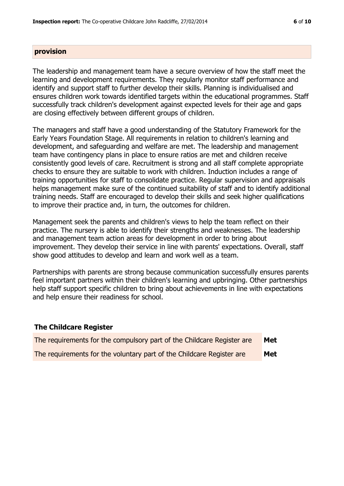#### **provision**

The leadership and management team have a secure overview of how the staff meet the learning and development requirements. They regularly monitor staff performance and identify and support staff to further develop their skills. Planning is individualised and ensures children work towards identified targets within the educational programmes. Staff successfully track children's development against expected levels for their age and gaps are closing effectively between different groups of children.

The managers and staff have a good understanding of the Statutory Framework for the Early Years Foundation Stage. All requirements in relation to children's learning and development, and safeguarding and welfare are met. The leadership and management team have contingency plans in place to ensure ratios are met and children receive consistently good levels of care. Recruitment is strong and all staff complete appropriate checks to ensure they are suitable to work with children. Induction includes a range of training opportunities for staff to consolidate practice. Regular supervision and appraisals helps management make sure of the continued suitability of staff and to identify additional training needs. Staff are encouraged to develop their skills and seek higher qualifications to improve their practice and, in turn, the outcomes for children.

Management seek the parents and children's views to help the team reflect on their practice. The nursery is able to identify their strengths and weaknesses. The leadership and management team action areas for development in order to bring about improvement. They develop their service in line with parents' expectations. Overall, staff show good attitudes to develop and learn and work well as a team.

Partnerships with parents are strong because communication successfully ensures parents feel important partners within their children's learning and upbringing. Other partnerships help staff support specific children to bring about achievements in line with expectations and help ensure their readiness for school.

#### **The Childcare Register**

| The requirements for the compulsory part of the Childcare Register are | Met |
|------------------------------------------------------------------------|-----|
| The requirements for the voluntary part of the Childcare Register are  | Met |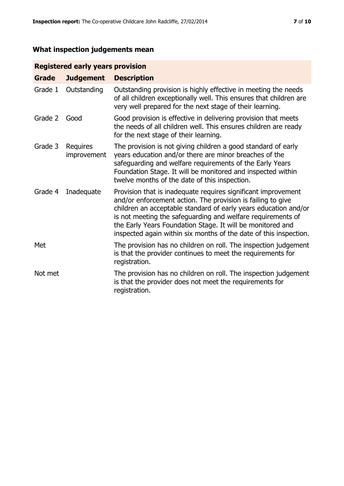# **What inspection judgements mean**

# **Registered early years provision**

| <b>Grade</b> | <b>Judgement</b>        | <b>Description</b>                                                                                                                                                                                                                                                                                                                                                                                |
|--------------|-------------------------|---------------------------------------------------------------------------------------------------------------------------------------------------------------------------------------------------------------------------------------------------------------------------------------------------------------------------------------------------------------------------------------------------|
| Grade 1      | Outstanding             | Outstanding provision is highly effective in meeting the needs<br>of all children exceptionally well. This ensures that children are<br>very well prepared for the next stage of their learning.                                                                                                                                                                                                  |
| Grade 2      | Good                    | Good provision is effective in delivering provision that meets<br>the needs of all children well. This ensures children are ready<br>for the next stage of their learning.                                                                                                                                                                                                                        |
| Grade 3      | Requires<br>improvement | The provision is not giving children a good standard of early<br>years education and/or there are minor breaches of the<br>safeguarding and welfare requirements of the Early Years<br>Foundation Stage. It will be monitored and inspected within<br>twelve months of the date of this inspection.                                                                                               |
| Grade 4      | Inadequate              | Provision that is inadequate requires significant improvement<br>and/or enforcement action. The provision is failing to give<br>children an acceptable standard of early years education and/or<br>is not meeting the safeguarding and welfare requirements of<br>the Early Years Foundation Stage. It will be monitored and<br>inspected again within six months of the date of this inspection. |
| Met          |                         | The provision has no children on roll. The inspection judgement<br>is that the provider continues to meet the requirements for<br>registration.                                                                                                                                                                                                                                                   |
| Not met      |                         | The provision has no children on roll. The inspection judgement<br>is that the provider does not meet the requirements for<br>registration.                                                                                                                                                                                                                                                       |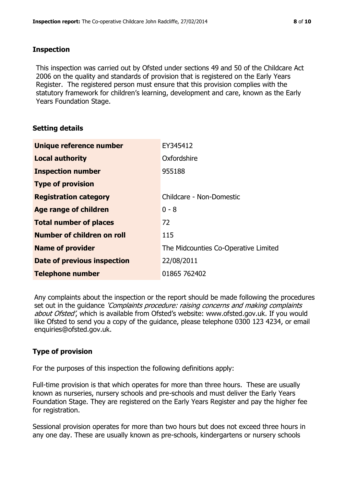#### **Inspection**

This inspection was carried out by Ofsted under sections 49 and 50 of the Childcare Act 2006 on the quality and standards of provision that is registered on the Early Years Register. The registered person must ensure that this provision complies with the statutory framework for children's learning, development and care, known as the Early Years Foundation Stage.

### **Setting details**

| Unique reference number       | EY345412                             |
|-------------------------------|--------------------------------------|
| <b>Local authority</b>        | Oxfordshire                          |
| <b>Inspection number</b>      | 955188                               |
| <b>Type of provision</b>      |                                      |
| <b>Registration category</b>  | Childcare - Non-Domestic             |
| Age range of children         | $0 - 8$                              |
| <b>Total number of places</b> | 72                                   |
| Number of children on roll    | 115                                  |
| <b>Name of provider</b>       | The Midcounties Co-Operative Limited |
| Date of previous inspection   | 22/08/2011                           |
| <b>Telephone number</b>       | 01865 762402                         |

Any complaints about the inspection or the report should be made following the procedures set out in the guidance *'Complaints procedure: raising concerns and making complaints* about Ofsted', which is available from Ofsted's website: www.ofsted.gov.uk. If you would like Ofsted to send you a copy of the guidance, please telephone 0300 123 4234, or email enquiries@ofsted.gov.uk.

# **Type of provision**

For the purposes of this inspection the following definitions apply:

Full-time provision is that which operates for more than three hours. These are usually known as nurseries, nursery schools and pre-schools and must deliver the Early Years Foundation Stage. They are registered on the Early Years Register and pay the higher fee for registration.

Sessional provision operates for more than two hours but does not exceed three hours in any one day. These are usually known as pre-schools, kindergartens or nursery schools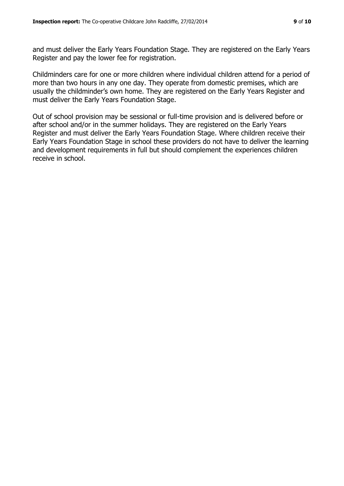and must deliver the Early Years Foundation Stage. They are registered on the Early Years Register and pay the lower fee for registration.

Childminders care for one or more children where individual children attend for a period of more than two hours in any one day. They operate from domestic premises, which are usually the childminder's own home. They are registered on the Early Years Register and must deliver the Early Years Foundation Stage.

Out of school provision may be sessional or full-time provision and is delivered before or after school and/or in the summer holidays. They are registered on the Early Years Register and must deliver the Early Years Foundation Stage. Where children receive their Early Years Foundation Stage in school these providers do not have to deliver the learning and development requirements in full but should complement the experiences children receive in school.